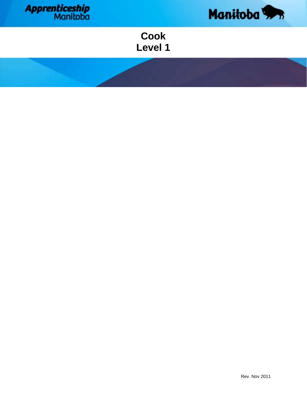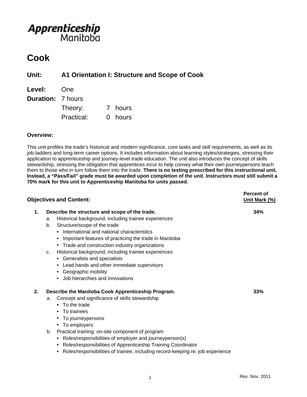### **Cook**

**Unit: A1 Orientation I: Structure and Scope of Cook**

| <b>Level:</b>            | One        |         |
|--------------------------|------------|---------|
| <b>Duration: 7 hours</b> |            |         |
|                          | Theory:    | 7 hours |
|                          | Practical: | 0 hours |

### **Overview:**

This unit profiles the trade's historical and modern significance, core tasks and skill requirements, as well as its job-ladders and long-term career options. It includes information about learning styles/strategies, stressing their application to apprenticeship and journey-level trade education. The unit also introduces the concept of skills stewardship, stressing the obligation that apprentices incur to help convey what their own journeypersons teach them to those who in turn follow them into the trade. **There is no testing prescribed for this instructional unit. Instead, a "Pass/Fail" grade must be awarded upon completion of the unit. Instructors must still submit a 70% mark for this unit to Apprenticeship Manitoba for units passed.** 

|    | <b>Objectives and Content:</b>                                                                                                                                                                                                                                                                                                                                                                                                                                                                                               | <b>Percent of</b><br>Unit Mark (%) |
|----|------------------------------------------------------------------------------------------------------------------------------------------------------------------------------------------------------------------------------------------------------------------------------------------------------------------------------------------------------------------------------------------------------------------------------------------------------------------------------------------------------------------------------|------------------------------------|
| 1. | Describe the structure and scope of the trade.<br>Historical background, including trainee experiences<br>a.<br>Structure/scope of the trade<br>b.<br>• International and national characteristics<br>Important features of practicing the trade in Manitoba<br>• Trade and construction industry organizations<br>Historical background, including trainee experiences<br>c.<br>• Generalists and specialists<br>• Lead hands and other immediate supervisors<br>• Geographic mobility<br>• Job hierarchies and innovations | 34%                                |
| 2. | Describe the Manitoba Cook Apprenticeship Program.<br>Concept and significance of skills stewardship<br>a.<br>• To the trade<br>• To trainees<br>• To journeypersons<br>• To employers<br>Practical training: on-site component of program<br>b.<br>• Roles/responsibilities of employer and journeyperson(s)<br>• Roles/responsibilities of Apprenticeship Training Coordinator<br>Roles/responsibilities of trainee, including record-keeping re: job experience                                                           | 33%                                |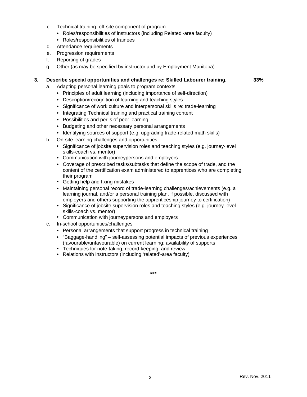- c. Technical training: off-site component of program
	- Roles/responsibilities of instructors (including Related'-area faculty)
	- Roles/responsibilities of trainees
- d. Attendance requirements
- e. Progression requirements
- f. Reporting of grades
- g. Other (as may be specified by instructor and by Employment Manitoba)

#### **3. Describe special opportunities and challenges re: Skilled Labourer training. 33%**

- a. Adapting personal learning goals to program contexts
	- Principles of adult learning (including importance of self-direction)
	- Description/recognition of learning and teaching styles
	- Significance of work culture and interpersonal skills re: trade-learning
	- Integrating Technical training and practical training content
	- Possibilities and perils of peer learning
	- Budgeting and other necessary personal arrangements
	- Identifying sources of support (e.g. upgrading trade-related math skills)
- b. On-site learning challenges and opportunities
	- Significance of jobsite supervision roles and teaching styles (e.g. journey-level skills-coach vs. mentor)
	- Communication with journeypersons and employers
	- Coverage of prescribed tasks/subtasks that define the scope of trade, and the content of the certification exam administered to apprentices who are completing their program
	- Getting help and fixing mistakes
	- Maintaining personal record of trade-learning challenges/achievements (e.g. a learning journal, and/or a personal training plan, if possible, discussed with employers and others supporting the apprenticeship journey to certification)
	- Significance of jobsite supervision roles and teaching styles (e.g. journey-level skills-coach vs. mentor)
	- Communication with journeypersons and employers
- c. In-school opportunities/challenges
	- Personal arrangements that support progress in technical training
	- "Baggage-handling" self-assessing potential impacts of previous experiences (favourable/unfavourable) on current learning; availability of supports
	- Techniques for note-taking, record-keeping, and review
	- Relations with instructors (including 'related'-area faculty)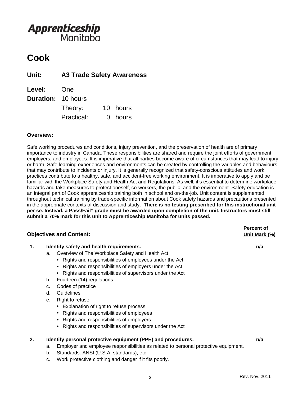### **Cook**

**Unit: A3 Trade Safety Awareness**

| Level:                    | One        |          |
|---------------------------|------------|----------|
| <b>Duration: 10 hours</b> |            |          |
|                           | Theory:    | 10 hours |
|                           | Practical: | 0 hours  |

### **Overview:**

Safe working procedures and conditions, injury prevention, and the preservation of health are of primary importance to industry in Canada. These responsibilities are shared and require the joint efforts of government, employers, and employees. It is imperative that all parties become aware of circumstances that may lead to injury or harm. Safe learning experiences and environments can be created by controlling the variables and behaviours that may contribute to incidents or injury. It is generally recognized that safety-conscious attitudes and work practices contribute to a healthy, safe, and accident-free working environment. It is imperative to apply and be familiar with the Workplace Safety and Health Act and Regulations. As well, it's essential to determine workplace hazards and take measures to protect oneself, co-workers, the public, and the environment. Safety education is an integral part of Cook apprenticeship training both in school and on-the-job. Unit content is supplemented throughout technical training by trade-specific information about Cook safety hazards and precautions presented in the appropriate contexts of discussion and study. **There is no testing prescribed for this instructional unit per se. Instead, a Pass/Fail" grade must be awarded upon completion of the unit. Instructors must still submit a 70% mark for this unit to Apprenticeship Manitoba for units passed.**

#### **Objectives and Content:** Unit Mark (%)

#### **1. Identify safety and health requirements. n/a**

- a. Overview of The Workplace Safety and Health Act
	- Rights and responsibilities of employees under the Act
	- Rights and responsibilities of employers under the Act
	- Rights and responsibilities of supervisors under the Act
- b. Fourteen (14) regulations
- c. Codes of practice
- d. Guidelines
- e. Right to refuse
	- Explanation of right to refuse process
	- Rights and responsibilities of employees
	- Rights and responsibilities of employers
	- Rights and responsibilities of supervisors under the Act

#### **2. Identify personal protective equipment (PPE) and procedures. n/a**

- a. Employer and employee responsibilities as related to personal protective equipment.
- b. Standards: ANSI (U.S.A. standards), etc.
- c. Work protective clothing and danger if it fits poorly.

**Percent of**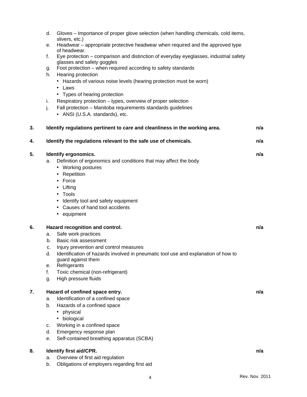|    | d. | Gloves – Importance of proper glove selection (when handling chemicals, cold items,                                 |     |
|----|----|---------------------------------------------------------------------------------------------------------------------|-----|
|    | е. | slivers, etc.)<br>Headwear – appropriate protective headwear when required and the approved type                    |     |
|    |    | of headwear.                                                                                                        |     |
|    | f. | Eye protection - comparison and distinction of everyday eyeglasses, industrial safety<br>glasses and safety goggles |     |
|    | g. | Foot protection – when required according to safety standards                                                       |     |
|    | h. | Hearing protection                                                                                                  |     |
|    |    | • Hazards of various noise levels (hearing protection must be worn)                                                 |     |
|    |    | • Laws<br>• Types of hearing protection                                                                             |     |
|    | i. | Respiratory protection - types, overview of proper selection                                                        |     |
|    | j. | Fall protection - Manitoba requirements standards guidelines                                                        |     |
|    |    | • ANSI (U.S.A. standards), etc.                                                                                     |     |
| 3. |    | Identify regulations pertinent to care and cleanliness in the working area.                                         | n/a |
| 4. |    | Identify the regulations relevant to the safe use of chemicals.                                                     | n/a |
|    |    |                                                                                                                     |     |
| 5. |    | Identify ergonomics.                                                                                                | n/a |
|    | a. | Definition of ergonomics and conditions that may affect the body<br>• Working postures                              |     |
|    |    | • Repetition                                                                                                        |     |
|    |    | • Force                                                                                                             |     |
|    |    | • Lifting                                                                                                           |     |
|    |    | • Tools                                                                                                             |     |
|    |    | • Identify tool and safety equipment                                                                                |     |
|    |    | • Causes of hand tool accidents                                                                                     |     |
|    |    | • equipment                                                                                                         |     |
| 6. |    | Hazard recognition and control.                                                                                     | n/a |
|    | a. | Safe work practices                                                                                                 |     |
|    | b. | Basic risk assessment                                                                                               |     |
|    | c. | Injury prevention and control measures                                                                              |     |
|    | d. | Identification of hazards involved in pneumatic tool use and explanation of how to<br>guard against them            |     |
|    | е. | Refrigerants                                                                                                        |     |
|    | f. | Toxic chemical (non-refrigerant)                                                                                    |     |
|    | g. | High pressure fluids                                                                                                |     |
| 7. |    | Hazard of confined space entry.                                                                                     | n/a |
|    | a. | Identification of a confined space                                                                                  |     |
|    | b. | Hazards of a confined space                                                                                         |     |
|    |    | • physical                                                                                                          |     |
|    |    | • biological                                                                                                        |     |
|    | c. | Working in a confined space                                                                                         |     |
|    | d. | Emergency response plan                                                                                             |     |
|    | е. | Self-contained breathing apparatus (SCBA)                                                                           |     |
| 8. |    | Identify first aid/CPR.                                                                                             | n/a |
|    | a. | Overview of first aid regulation                                                                                    |     |
|    | b. | Obligations of employers regarding first aid                                                                        |     |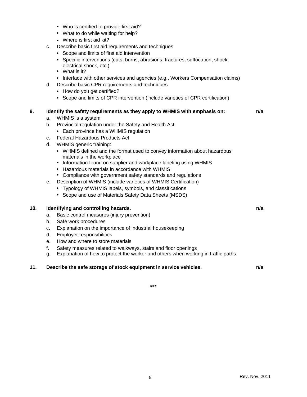- Who is certified to provide first aid?
- What to do while waiting for help?
- Where is first aid kit?
- c. Describe basic first aid requirements and techniques
	- Scope and limits of first aid intervention
	- Specific interventions (cuts, burns, abrasions, fractures, suffocation, shock, electrical shock, etc.)
	- What is it?
	- Interface with other services and agencies (e.g., Workers Compensation claims)
- d. Describe basic CPR requirements and techniques
	- How do you get certified?
	- Scope and limits of CPR intervention (include varieties of CPR certification)

#### **9. Identify the safety requirements as they apply to WHMIS with emphasis on: n/a**

- a. WHMIS is a system
- b. Provincial regulation under the Safety and Health Act
	- Each province has a WHMIS regulation
- c. Federal Hazardous Products Act
- d. WHMIS generic training:
	- WHMIS defined and the format used to convey information about hazardous materials in the workplace
	- Information found on supplier and workplace labeling using WHMIS
	- Hazardous materials in accordance with WHMIS
	- Compliance with government safety standards and regulations
- e. Description of WHMIS (include varieties of WHMIS Certification)
	- Typology of WHMIS labels, symbols, and classifications
	- Scope and use of Materials Safety Data Sheets (MSDS)

#### **10. Identifying and controlling hazards. n/a**

- a. Basic control measures (injury prevention)
- b. Safe work procedures
- c. Explanation on the importance of industrial housekeeping
- d. Employer responsibilities
- e. How and where to store materials
- f. Safety measures related to walkways, stairs and floor openings
- g. Explanation of how to protect the worker and others when working in traffic paths

#### **11. Describe the safe storage of stock equipment in service vehicles. n/a**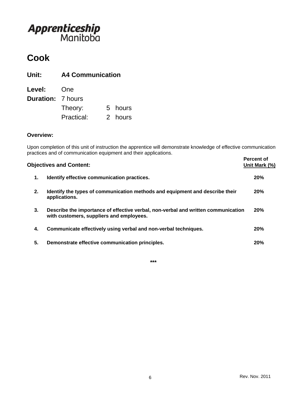## **Cook**

| <b>A4 Communication</b><br>Unit: |            |  |         |
|----------------------------------|------------|--|---------|
| Level:                           | <b>One</b> |  |         |
| <b>Duration: 7 hours</b>         |            |  |         |
|                                  | Theory:    |  | 5 hours |
|                                  | Practical: |  | 2 hours |

#### **Overview:**

Upon completion of this unit of instruction the apprentice will demonstrate knowledge of effective communication practices and of communication equipment and their applications.

|    | <b>Objectives and Content:</b>                                                                                                | Percent of<br>Unit Mark (%) |
|----|-------------------------------------------------------------------------------------------------------------------------------|-----------------------------|
| 1. | Identify effective communication practices.                                                                                   | 20%                         |
| 2. | Identify the types of communication methods and equipment and describe their<br>applications.                                 | 20%                         |
| 3. | Describe the importance of effective verbal, non-verbal and written communication<br>with customers, suppliers and employees. | <b>20%</b>                  |
| 4. | Communicate effectively using verbal and non-verbal techniques.                                                               | 20%                         |
| 5. | Demonstrate effective communication principles.                                                                               | 20%                         |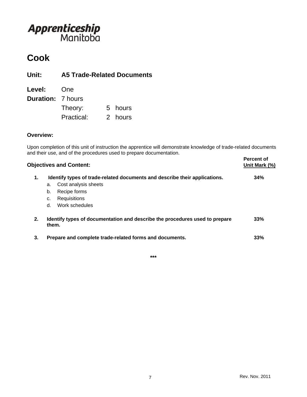## **Cook**

**Unit: A5 Trade-Related Documents**

| Level:                   | One        |         |
|--------------------------|------------|---------|
| <b>Duration: 7 hours</b> |            |         |
|                          | Theory:    | 5 hours |
|                          | Practical: | 2 hours |

### **Overview:**

Upon completion of this unit of instruction the apprentice will demonstrate knowledge of trade-related documents and their use, and of the procedures used to prepare documentation.

| <b>Objectives and Content:</b> |                                                                                      | <b>Percent of</b><br>Unit Mark (%) |
|--------------------------------|--------------------------------------------------------------------------------------|------------------------------------|
| 1.                             | Identify types of trade-related documents and describe their applications.           | 34%                                |
|                                | Cost analysis sheets<br>a.<br>Recipe forms<br>b.                                     |                                    |
|                                | Requisitions<br>c.                                                                   |                                    |
|                                | Work schedules<br>d.                                                                 |                                    |
| 2.                             | Identify types of documentation and describe the procedures used to prepare<br>them. | 33%                                |
| 3.                             | Prepare and complete trade-related forms and documents.                              | 33%                                |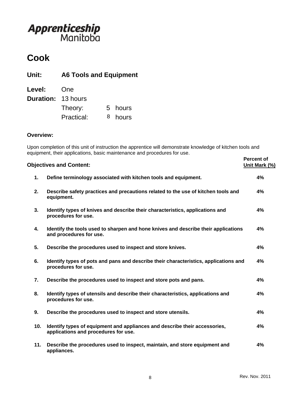## **Cook**

### **Unit: A6 Tools and Equipment**

| Level:                    | One        |         |
|---------------------------|------------|---------|
| <b>Duration: 13 hours</b> |            |         |
|                           | Theory:    | 5 hours |
|                           | Practical: | 8 hours |

### **Overview:**

Upon completion of this unit of instruction the apprentice will demonstrate knowledge of kitchen tools and equipment, their applications, basic maintenance and procedures for use.

|     | <b>Objectives and Content:</b>                                                                                     | <b>Percent of</b><br>Unit Mark (%) |
|-----|--------------------------------------------------------------------------------------------------------------------|------------------------------------|
| 1.  | Define terminology associated with kitchen tools and equipment.                                                    | 4%                                 |
| 2.  | Describe safety practices and precautions related to the use of kitchen tools and<br>equipment.                    | 4%                                 |
| 3.  | Identify types of knives and describe their characteristics, applications and<br>procedures for use.               | 4%                                 |
| 4.  | Identify the tools used to sharpen and hone knives and describe their applications<br>and procedures for use.      | 4%                                 |
| 5.  | Describe the procedures used to inspect and store knives.                                                          | 4%                                 |
| 6.  | Identify types of pots and pans and describe their characteristics, applications and<br>procedures for use.        | 4%                                 |
| 7.  | Describe the procedures used to inspect and store pots and pans.                                                   | 4%                                 |
| 8.  | Identify types of utensils and describe their characteristics, applications and<br>procedures for use.             | 4%                                 |
| 9.  | Describe the procedures used to inspect and store utensils.                                                        | 4%                                 |
| 10. | Identify types of equipment and appliances and describe their accessories,<br>applications and procedures for use. | 4%                                 |
| 11. | Describe the procedures used to inspect, maintain, and store equipment and<br>appliances.                          | 4%                                 |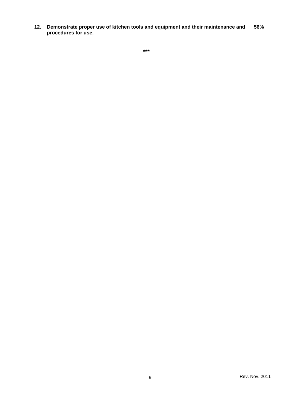**12. Demonstrate proper use of kitchen tools and equipment and their maintenance and procedures for use. 56%**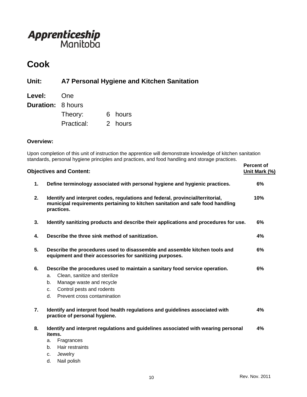## **Cook**

### **Unit: A7 Personal Hygiene and Kitchen Sanitation**

| Level:                   | One        |         |
|--------------------------|------------|---------|
| <b>Duration: 8 hours</b> |            |         |
|                          | Theory:    | 6 hours |
|                          | Practical: | 2 hours |

#### **Overview:**

Upon completion of this unit of instruction the apprentice will demonstrate knowledge of kitchen sanitation standards, personal hygiene principles and practices, and food handling and storage practices.

|    | <b>Objectives and Content:</b>                                                                                                                                                 | <b>Percent of</b><br>Unit Mark (%) |
|----|--------------------------------------------------------------------------------------------------------------------------------------------------------------------------------|------------------------------------|
| 1. | Define terminology associated with personal hygiene and hygienic practices.                                                                                                    | 6%                                 |
| 2. | Identify and interpret codes, regulations and federal, provincial/territorial,<br>municipal requirements pertaining to kitchen sanitation and safe food handling<br>practices. | 10%                                |
| 3. | Identify sanitizing products and describe their applications and procedures for use.                                                                                           | 6%                                 |
| 4. | Describe the three sink method of sanitization.                                                                                                                                | 4%                                 |
| 5. | Describe the procedures used to disassemble and assemble kitchen tools and<br>equipment and their accessories for sanitizing purposes.                                         | 6%                                 |
| 6. | Describe the procedures used to maintain a sanitary food service operation.                                                                                                    | 6%                                 |
|    | Clean, sanitize and sterilize<br>a.                                                                                                                                            |                                    |
|    | Manage waste and recycle<br>b.                                                                                                                                                 |                                    |
|    | Control pests and rodents<br>c.                                                                                                                                                |                                    |
|    | Prevent cross contamination<br>d.                                                                                                                                              |                                    |
| 7. | Identify and interpret food health regulations and guidelines associated with<br>practice of personal hygiene.                                                                 | 4%                                 |
| 8. | Identify and interpret regulations and guidelines associated with wearing personal<br>items.                                                                                   | 4%                                 |
|    | Fragrances<br>a.                                                                                                                                                               |                                    |
|    | Hair restraints<br>b.                                                                                                                                                          |                                    |
|    | Jewelry<br>C.                                                                                                                                                                  |                                    |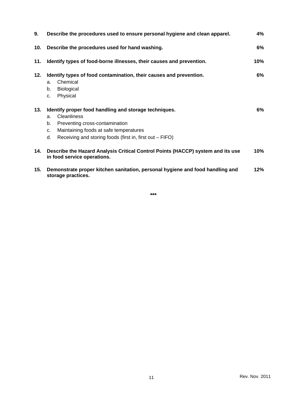| 9.  | Describe the procedures used to ensure personal hygiene and clean apparel.                                                                                                                                                                  | 4%    |
|-----|---------------------------------------------------------------------------------------------------------------------------------------------------------------------------------------------------------------------------------------------|-------|
| 10. | Describe the procedures used for hand washing.                                                                                                                                                                                              | 6%    |
| 11. | Identify types of food-borne illnesses, their causes and prevention.                                                                                                                                                                        | 10%   |
| 12. | Identify types of food contamination, their causes and prevention.<br>Chemical<br>a.<br><b>Biological</b><br>b.<br>Physical<br>C.                                                                                                           | $6\%$ |
| 13. | Identify proper food handling and storage techniques.<br><b>Cleanliness</b><br>a.<br>b.<br>Preventing cross-contamination<br>Maintaining foods at safe temperatures<br>C.<br>Receiving and storing foods (first in, first out – FIFO)<br>d. | $6\%$ |
| 14. | Describe the Hazard Analysis Critical Control Points (HACCP) system and its use<br>in food service operations.                                                                                                                              | 10%   |
| 15. | Demonstrate proper kitchen sanitation, personal hygiene and food handling and<br>storage practices.                                                                                                                                         | 12%   |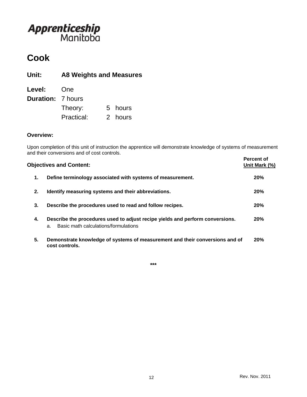## **Cook**

**Unit: A8 Weights and Measures**

| Level:                   | One        |         |
|--------------------------|------------|---------|
| <b>Duration: 7 hours</b> |            |         |
|                          | Theory:    | 5 hours |
|                          | Practical: | 2 hours |

### **Overview:**

Upon completion of this unit of instruction the apprentice will demonstrate knowledge of systems of measurement and their conversions and of cost controls.

|    | <b>Objectives and Content:</b>                                                                                              | <b>Percent of</b><br>Unit Mark (%) |
|----|-----------------------------------------------------------------------------------------------------------------------------|------------------------------------|
| 1. | Define terminology associated with systems of measurement.                                                                  | 20%                                |
| 2. | Identify measuring systems and their abbreviations.                                                                         | 20%                                |
| 3. | Describe the procedures used to read and follow recipes.                                                                    | 20%                                |
| 4. | Describe the procedures used to adjust recipe yields and perform conversions.<br>Basic math calculations/formulations<br>a. | 20%                                |
| 5. | Demonstrate knowledge of systems of measurement and their conversions and of<br>cost controls.                              | 20%                                |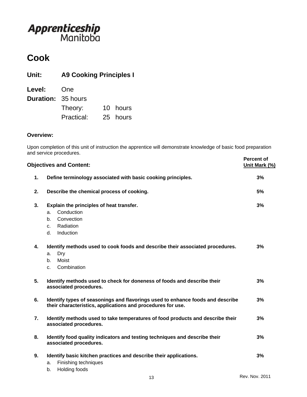## **Cook**

### **Unit: A9 Cooking Principles I**

| Level:                    | One        |          |
|---------------------------|------------|----------|
| <b>Duration: 35 hours</b> |            |          |
|                           | Theory:    | 10 hours |
|                           | Practical: | 25 hours |

### **Overview:**

Upon completion of this unit of instruction the apprentice will demonstrate knowledge of basic food preparation and service procedures.

|    | <b>Objectives and Content:</b>                                                                                                                | <b>Percent of</b><br>Unit Mark (%) |
|----|-----------------------------------------------------------------------------------------------------------------------------------------------|------------------------------------|
| 1. | Define terminology associated with basic cooking principles.                                                                                  | 3%                                 |
| 2. | Describe the chemical process of cooking.                                                                                                     | 5%                                 |
| 3. | Explain the principles of heat transfer.<br>Conduction<br>a.<br>Convection<br>b.<br>Radiation<br>C.<br>Induction<br>d.                        | 3%                                 |
| 4. | Identify methods used to cook foods and describe their associated procedures.<br>Dry<br>a.<br><b>Moist</b><br>b.<br>Combination<br>C.         | 3%                                 |
| 5. | Identify methods used to check for doneness of foods and describe their<br>associated procedures.                                             | 3%                                 |
| 6. | Identify types of seasonings and flavorings used to enhance foods and describe<br>their characteristics, applications and procedures for use. | 3%                                 |
| 7. | Identify methods used to take temperatures of food products and describe their<br>associated procedures.                                      | 3%                                 |
| 8. | Identify food quality indicators and testing techniques and describe their<br>associated procedures.                                          | 3%                                 |
| 9. | Identify basic kitchen practices and describe their applications.<br>Finishing techniques<br>a.<br>Holding foods<br>b.                        | 3%                                 |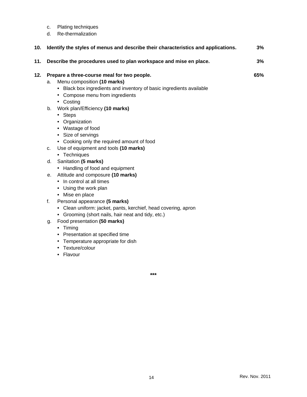|     | c. | Plating techniques                                                                                                                                    |     |
|-----|----|-------------------------------------------------------------------------------------------------------------------------------------------------------|-----|
|     | d. | Re-thermalization                                                                                                                                     |     |
| 10. |    | Identify the styles of menus and describe their characteristics and applications.                                                                     | 3%  |
| 11. |    | Describe the procedures used to plan workspace and mise en place.                                                                                     | 3%  |
| 12. |    | Prepare a three-course meal for two people.                                                                                                           | 65% |
|     | a. | Menu composition (10 marks)<br>• Black box ingredients and inventory of basic ingredients available<br>• Compose menu from ingredients<br>• Costing   |     |
|     | b. | Work plan/Efficiency (10 marks)<br>• Steps<br>• Organization<br>• Wastage of food<br>• Size of servings<br>• Cooking only the required amount of food |     |
|     | C. | Use of equipment and tools (10 marks)<br>• Techniques                                                                                                 |     |
|     | d. | Sanitation (5 marks)<br>• Handling of food and equipment                                                                                              |     |
|     | е. | Attitude and composure (10 marks)<br>• In control at all times<br>• Using the work plan<br>• Mise en place                                            |     |
|     | f. | Personal appearance (5 marks)<br>• Clean uniform: jacket, pants, kerchief, head covering, apron<br>• Grooming (short nails, hair neat and tidy, etc.) |     |
|     | g. | Food presentation (50 marks)<br>• Timing<br>• Presentation at specified time<br>• Temperature appropriate for dish<br>• Texture/colour<br>• Flavour   |     |
|     |    | ***                                                                                                                                                   |     |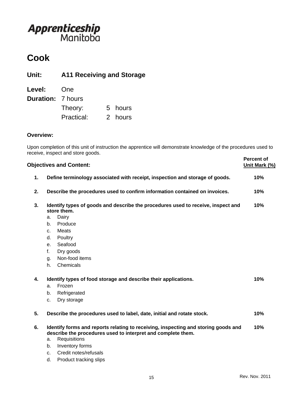## **Cook**

**Unit: A11 Receiving and Storage**

| Level:                   | One        |         |
|--------------------------|------------|---------|
| <b>Duration: 7 hours</b> |            |         |
|                          | Theory:    | 5 hours |
|                          | Practical: | 2 hours |

### **Overview:**

Upon completion of this unit of instruction the apprentice will demonstrate knowledge of the procedures used to receive, inspect and store goods.

|    | <b>Objectives and Content:</b>                                                                                                                                                                                                   | <b>Percent of</b><br>Unit Mark (%) |
|----|----------------------------------------------------------------------------------------------------------------------------------------------------------------------------------------------------------------------------------|------------------------------------|
| 1. | Define terminology associated with receipt, inspection and storage of goods.                                                                                                                                                     | 10%                                |
| 2. | Describe the procedures used to confirm information contained on invoices.                                                                                                                                                       | 10%                                |
| 3. | Identify types of goods and describe the procedures used to receive, inspect and<br>store them.<br>Dairy<br>a.<br>Produce<br>b.<br>Meats<br>C <sub>1</sub><br>Poultry<br>d.                                                      | 10%                                |
|    | Seafood<br>e.<br>Dry goods<br>f.<br>Non-food items<br>g.<br>Chemicals<br>h.                                                                                                                                                      |                                    |
| 4. | Identify types of food storage and describe their applications.<br>Frozen<br>a.<br>Refrigerated<br>b.<br>Dry storage<br>C <sub>1</sub>                                                                                           | 10%                                |
| 5. | Describe the procedures used to label, date, initial and rotate stock.                                                                                                                                                           | 10%                                |
| 6. | Identify forms and reports relating to receiving, inspecting and storing goods and<br>describe the procedures used to interpret and complete them.<br>Requisitions<br>a.<br>Inventory forms<br>b.<br>Credit notes/refusals<br>c. | 10%                                |

d. Product tracking slips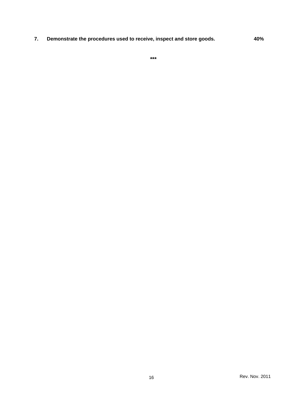**7. Demonstrate the procedures used to receive, inspect and store goods. 40%**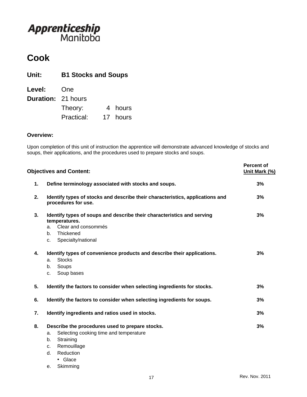## **Cook**

| Unit:<br><b>B1 Stocks and Soups</b> |            |   |          |
|-------------------------------------|------------|---|----------|
| <b>Level:</b>                       | One        |   |          |
| <b>Duration: 21 hours</b>           |            |   |          |
|                                     | Theory:    | 4 | hours    |
|                                     | Practical: |   | 17 hours |

#### **Overview:**

Upon completion of this unit of instruction the apprentice will demonstrate advanced knowledge of stocks and soups, their applications, and the procedures used to prepare stocks and soups.

|    | <b>Objectives and Content:</b>                                                                                                                                              | <b>Percent of</b><br>Unit Mark (%) |
|----|-----------------------------------------------------------------------------------------------------------------------------------------------------------------------------|------------------------------------|
| 1. | Define terminology associated with stocks and soups.                                                                                                                        | 3%                                 |
| 2. | Identify types of stocks and describe their characteristics, applications and<br>procedures for use.                                                                        | 3%                                 |
| 3. | Identify types of soups and describe their characteristics and serving<br>temperatures.<br>Clear and consommés<br>a.<br>Thickened<br>b.<br>Specialty/national<br>C.         | 3%                                 |
| 4. | Identify types of convenience products and describe their applications.<br><b>Stocks</b><br>a.<br>Soups<br>b.<br>Soup bases<br>c.                                           | 3%                                 |
| 5. | Identify the factors to consider when selecting ingredients for stocks.                                                                                                     | 3%                                 |
| 6. | Identify the factors to consider when selecting ingredients for soups.                                                                                                      | 3%                                 |
| 7. | Identify ingredients and ratios used in stocks.                                                                                                                             | 3%                                 |
| 8. | Describe the procedures used to prepare stocks.<br>Selecting cooking time and temperature<br>a.<br>Straining<br>b.<br>Remouillage<br>C.<br>Reduction<br>d.<br>$\cdot$ Glace | 3%                                 |

e. Skimming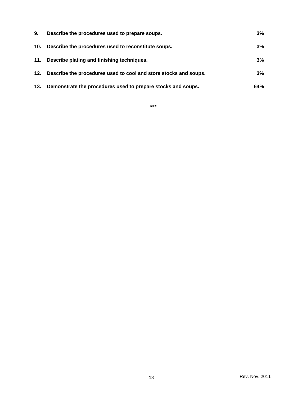| 9.  | Describe the procedures used to prepare soups.                   | 3%  |
|-----|------------------------------------------------------------------|-----|
| 10. | Describe the procedures used to reconstitute soups.              | 3%  |
| 11. | Describe plating and finishing techniques.                       | 3%  |
| 12. | Describe the procedures used to cool and store stocks and soups. | 3%  |
| 13. | Demonstrate the procedures used to prepare stocks and soups.     | 64% |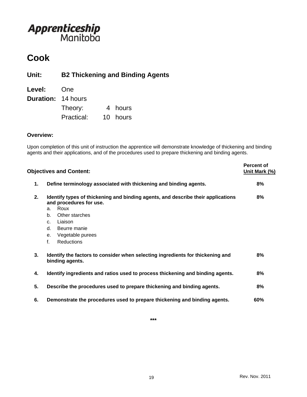### **Cook**

### **Unit: B2 Thickening and Binding Agents**

| Level:                    | One        |          |
|---------------------------|------------|----------|
| <b>Duration: 14 hours</b> |            |          |
|                           | Theory:    | 4 hours  |
|                           | Practical: | 10 hours |

#### **Overview:**

Upon completion of this unit of instruction the apprentice will demonstrate knowledge of thickening and binding agents and their applications, and of the procedures used to prepare thickening and binding agents.

|    | <b>Objectives and Content:</b>                                                                                                                                                                                                                            | <b>Percent of</b><br>Unit Mark (%) |
|----|-----------------------------------------------------------------------------------------------------------------------------------------------------------------------------------------------------------------------------------------------------------|------------------------------------|
| 1. | Define terminology associated with thickening and binding agents.                                                                                                                                                                                         | 8%                                 |
| 2. | Identify types of thickening and binding agents, and describe their applications<br>and procedures for use.<br>Roux<br>a.<br>Other starches<br>b.<br>Liaison<br>C <sub>1</sub><br>Beurre manie<br>d.<br>Vegetable purees<br>е.<br>f.<br><b>Reductions</b> | 8%                                 |
| 3. | Identify the factors to consider when selecting ingredients for thickening and<br>binding agents.                                                                                                                                                         | 8%                                 |
| 4. | Identify ingredients and ratios used to process thickening and binding agents.                                                                                                                                                                            | 8%                                 |
| 5. | Describe the procedures used to prepare thickening and binding agents.                                                                                                                                                                                    | 8%                                 |
| 6. | Demonstrate the procedures used to prepare thickening and binding agents.                                                                                                                                                                                 | 60%                                |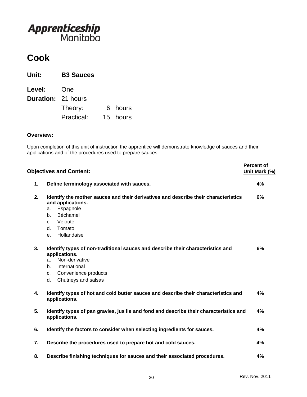## **Cook**

| Unit:                     | <b>B3 Sauces</b> |          |
|---------------------------|------------------|----------|
| <b>Level:</b>             | <b>One</b>       |          |
| <b>Duration: 21 hours</b> |                  |          |
|                           | Theory:          | 6 hours  |
|                           | Practical:       | 15 hours |

#### **Overview:**

Upon completion of this unit of instruction the apprentice will demonstrate knowledge of sauces and their applications and of the procedures used to prepare sauces.

|    | <b>Objectives and Content:</b>                                                                                                                                                                                              | <b>Percent of</b><br>Unit Mark (%) |
|----|-----------------------------------------------------------------------------------------------------------------------------------------------------------------------------------------------------------------------------|------------------------------------|
| 1. | Define terminology associated with sauces.                                                                                                                                                                                  | 4%                                 |
| 2. | Identify the mother sauces and their derivatives and describe their characteristics<br>and applications.<br>Espagnole<br>a.<br>Béchamel<br>b.<br>Veloute<br>C <sub>1</sub><br>Tomato<br>d.<br>Hollandaise<br>e <sub>1</sub> | 6%                                 |
| 3. | Identify types of non-traditional sauces and describe their characteristics and<br>applications.<br>Non-derivative<br>a.<br>International<br>b.<br>Convenience products<br>C <sub>1</sub><br>d.<br>Chutneys and salsas      | 6%                                 |
| 4. | Identify types of hot and cold butter sauces and describe their characteristics and<br>applications.                                                                                                                        | 4%                                 |
| 5. | Identify types of pan gravies, jus lie and fond and describe their characteristics and<br>applications.                                                                                                                     | 4%                                 |
| 6. | Identify the factors to consider when selecting ingredients for sauces.                                                                                                                                                     | 4%                                 |
| 7. | Describe the procedures used to prepare hot and cold sauces.                                                                                                                                                                | 4%                                 |
| 8. | Describe finishing techniques for sauces and their associated procedures.                                                                                                                                                   | 4%                                 |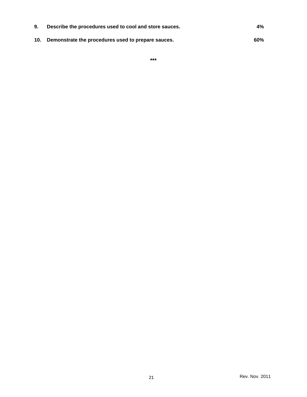| 9. | Describe the procedures used to cool and store sauces. | 4%  |
|----|--------------------------------------------------------|-----|
|    | 10. Demonstrate the procedures used to prepare sauces. | 60% |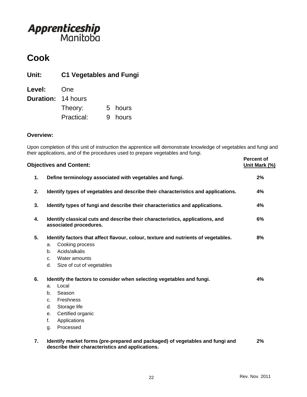## **Cook**

**Unit: C1 Vegetables and Fungi**

| Level:                    | One        |         |
|---------------------------|------------|---------|
| <b>Duration: 14 hours</b> |            |         |
|                           | Theory:    | 5 hours |
|                           | Practical: | 9 hours |

### **Overview:**

Upon completion of this unit of instruction the apprentice will demonstrate knowledge of vegetables and fungi and their applications, and of the procedures used to prepare vegetables and fungi.

|    | <b>Objectives and Content:</b>                                                                                                    | <b>Percent of</b><br>Unit Mark (%) |
|----|-----------------------------------------------------------------------------------------------------------------------------------|------------------------------------|
| 1. | Define terminology associated with vegetables and fungi.                                                                          | 2%                                 |
| 2. | Identify types of vegetables and describe their characteristics and applications.                                                 | 4%                                 |
| 3. | Identify types of fungi and describe their characteristics and applications.                                                      | 4%                                 |
| 4. | Identify classical cuts and describe their characteristics, applications, and<br>associated procedures.                           | 6%                                 |
| 5. | Identify factors that affect flavour, colour, texture and nutrients of vegetables.                                                | 8%                                 |
|    | Cooking process<br>a.                                                                                                             |                                    |
|    | Acids/alkalis<br>b.                                                                                                               |                                    |
|    | Water amounts<br>C <sub>1</sub>                                                                                                   |                                    |
|    | d.<br>Size of cut of vegetables                                                                                                   |                                    |
| 6. | Identify the factors to consider when selecting vegetables and fungi.                                                             | 4%                                 |
|    | Local<br>a.                                                                                                                       |                                    |
|    | Season<br>b.                                                                                                                      |                                    |
|    | Freshness<br>c.                                                                                                                   |                                    |
|    | Storage life<br>d.                                                                                                                |                                    |
|    | Certified organic<br>е.                                                                                                           |                                    |
|    | Applications<br>f.                                                                                                                |                                    |
|    | Processed<br>g.                                                                                                                   |                                    |
| 7. | Identify market forms (pre-prepared and packaged) of vegetables and fungi and<br>describe their characteristics and applications. | 2%                                 |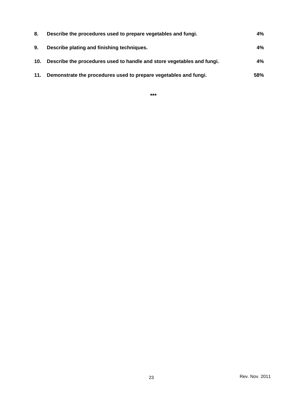| 8.  | Describe the procedures used to prepare vegetables and fungi.          | $4\%$ |
|-----|------------------------------------------------------------------------|-------|
| 9.  | Describe plating and finishing techniques.                             | $4\%$ |
| 10. | Describe the procedures used to handle and store vegetables and fungi. | $4\%$ |
| 11. | Demonstrate the procedures used to prepare vegetables and fungi.       | 58%   |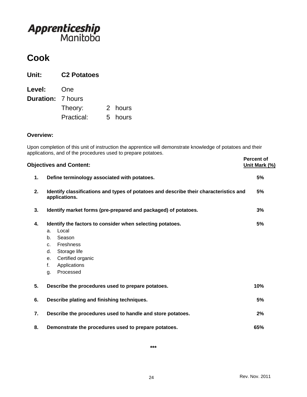## **Cook**

| Unit:                    | <b>C2 Potatoes</b> |         |
|--------------------------|--------------------|---------|
| Level:                   | One                |         |
| <b>Duration: 7 hours</b> |                    |         |
|                          | Theory:            | 2 hours |
|                          | Practical:         | 5 hours |

#### **Overview:**

Upon completion of this unit of instruction the apprentice will demonstrate knowledge of potatoes and their applications, and of the procedures used to prepare potatoes.

|    | <b>Objectives and Content:</b>                                                                         | <b>Percent of</b><br>Unit Mark (%) |
|----|--------------------------------------------------------------------------------------------------------|------------------------------------|
| 1. | Define terminology associated with potatoes.                                                           | 5%                                 |
| 2. | Identify classifications and types of potatoes and describe their characteristics and<br>applications. | 5%                                 |
| 3. | Identify market forms (pre-prepared and packaged) of potatoes.                                         | 3%                                 |
| 4. | Identify the factors to consider when selecting potatoes.<br>Local<br>a.                               | 5%                                 |
|    | Season<br>b.                                                                                           |                                    |
|    | Freshness<br>C.                                                                                        |                                    |
|    | Storage life<br>d.                                                                                     |                                    |
|    | Certified organic<br>е.                                                                                |                                    |
|    | f.<br>Applications                                                                                     |                                    |
|    | Processed<br>g.                                                                                        |                                    |
| 5. | Describe the procedures used to prepare potatoes.                                                      | 10%                                |
| 6. | Describe plating and finishing techniques.                                                             | 5%                                 |
| 7. | Describe the procedures used to handle and store potatoes.                                             | 2%                                 |
| 8. | Demonstrate the procedures used to prepare potatoes.                                                   | 65%                                |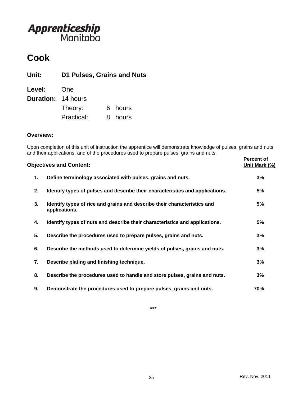## **Cook**

**Unit: D1 Pulses, Grains and Nuts**

| <b>Level:</b>             | One        |         |
|---------------------------|------------|---------|
| <b>Duration: 14 hours</b> |            |         |
|                           | Theory:    | 6 hours |
|                           | Practical: | 8 hours |

### **Overview:**

Upon completion of this unit of instruction the apprentice will demonstrate knowledge of pulses, grains and nuts and their applications, and of the procedures used to prepare pulses, grains and nuts.

|    | <b>Objectives and Content:</b>                                                            | <b>Percent of</b><br>Unit Mark (%) |
|----|-------------------------------------------------------------------------------------------|------------------------------------|
| 1. | Define terminology associated with pulses, grains and nuts.                               | 3%                                 |
| 2. | Identify types of pulses and describe their characteristics and applications.             | 5%                                 |
| 3. | Identify types of rice and grains and describe their characteristics and<br>applications. | 5%                                 |
| 4. | Identify types of nuts and describe their characteristics and applications.               | 5%                                 |
| 5. | Describe the procedures used to prepare pulses, grains and nuts.                          | 3%                                 |
| 6. | Describe the methods used to determine yields of pulses, grains and nuts.                 | 3%                                 |
| 7. | Describe plating and finishing technique.                                                 | 3%                                 |
| 8. | Describe the procedures used to handle and store pulses, grains and nuts.                 | 3%                                 |
| 9. | Demonstrate the procedures used to prepare pulses, grains and nuts.                       | 70%                                |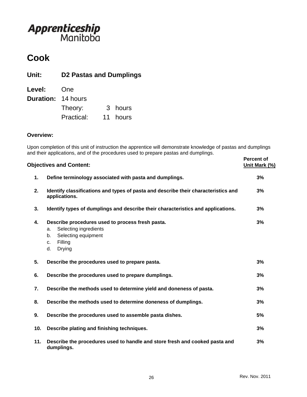## **Cook**

**Unit: D2 Pastas and Dumplings**

| Level:                    | One        |          |
|---------------------------|------------|----------|
| <b>Duration: 14 hours</b> |            |          |
|                           | Theory:    | 3 hours  |
|                           | Practical: | 11 hours |

### **Overview:**

Upon completion of this unit of instruction the apprentice will demonstrate knowledge of pastas and dumplings and their applications, and of the procedures used to prepare pastas and dumplings.

|     | <b>Objectives and Content:</b>                                                                                                                | <b>Percent of</b><br>Unit Mark (%) |
|-----|-----------------------------------------------------------------------------------------------------------------------------------------------|------------------------------------|
| 1.  | Define terminology associated with pasta and dumplings.                                                                                       | 3%                                 |
| 2.  | Identify classifications and types of pasta and describe their characteristics and<br>applications.                                           | 3%                                 |
| 3.  | Identify types of dumplings and describe their characteristics and applications.                                                              | 3%                                 |
| 4.  | Describe procedures used to process fresh pasta.<br>Selecting ingredients<br>a.<br>Selecting equipment<br>b.<br>Filling<br>c.<br>d.<br>Drying | 3%                                 |
| 5.  | Describe the procedures used to prepare pasta.                                                                                                | 3%                                 |
| 6.  | Describe the procedures used to prepare dumplings.                                                                                            | 3%                                 |
| 7.  | Describe the methods used to determine yield and doneness of pasta.                                                                           | 3%                                 |
| 8.  | Describe the methods used to determine doneness of dumplings.                                                                                 | 3%                                 |
| 9.  | Describe the procedures used to assemble pasta dishes.                                                                                        | 5%                                 |
| 10. | Describe plating and finishing techniques.                                                                                                    | 3%                                 |
| 11. | Describe the procedures used to handle and store fresh and cooked pasta and<br>dumplings.                                                     | 3%                                 |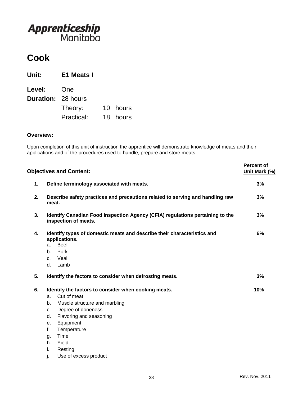## **Cook**

| Unit:                     | E1 Meats I |          |
|---------------------------|------------|----------|
| <b>Level:</b>             | <b>One</b> |          |
| <b>Duration: 28 hours</b> |            |          |
|                           | Theory:    | 10 hours |
|                           | Practical: | 18 hours |

#### **Overview:**

Upon completion of this unit of instruction the apprentice will demonstrate knowledge of meats and their applications and of the procedures used to handle, prepare and store meats.

| <b>Objectives and Content:</b>                                                                                                                                                                                                                                                                     | <b>Percent of</b><br>Unit Mark (%) |
|----------------------------------------------------------------------------------------------------------------------------------------------------------------------------------------------------------------------------------------------------------------------------------------------------|------------------------------------|
| Define terminology associated with meats.                                                                                                                                                                                                                                                          | 3%                                 |
| Describe safety practices and precautions related to serving and handling raw<br>meat.                                                                                                                                                                                                             | 3%                                 |
| Identify Canadian Food Inspection Agency (CFIA) regulations pertaining to the<br>inspection of meats.                                                                                                                                                                                              | 3%                                 |
| Identify types of domestic meats and describe their characteristics and<br>applications.<br><b>Beef</b><br>a.<br>Pork<br>b.<br>Veal<br>$C_{1}$<br>d.<br>Lamb                                                                                                                                       | 6%                                 |
| Identify the factors to consider when defrosting meats.                                                                                                                                                                                                                                            | 3%                                 |
| Identify the factors to consider when cooking meats.<br>Cut of meat<br>a.<br>Muscle structure and marbling<br>b.<br>Degree of doneness<br>c.<br>Flavoring and seasoning<br>d.<br>Equipment<br>е.<br>f.<br>Temperature<br>Time<br>g.<br>Yield<br>h.<br>i.<br>Resting<br>j.<br>Use of excess product | 10%                                |
|                                                                                                                                                                                                                                                                                                    |                                    |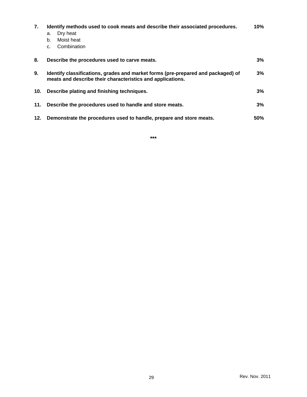| 7.  | Identify methods used to cook meats and describe their associated procedures.<br>Dry heat<br>a.<br>Moist heat<br>b.<br>Combination<br>$\mathsf{C}$ . | 10%        |
|-----|------------------------------------------------------------------------------------------------------------------------------------------------------|------------|
| 8.  | Describe the procedures used to carve meats.                                                                                                         | $3\%$      |
| 9.  | Identify classifications, grades and market forms (pre-prepared and packaged) of<br>meats and describe their characteristics and applications.       | $3\%$      |
| 10. | Describe plating and finishing techniques.                                                                                                           | 3%         |
| 11. | Describe the procedures used to handle and store meats.                                                                                              | 3%         |
| 12. | Demonstrate the procedures used to handle, prepare and store meats.                                                                                  | <b>50%</b> |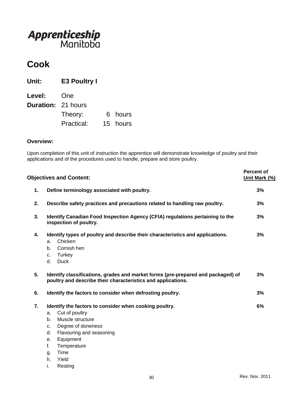## **Cook**

**Unit: E3 Poultry I Level:** One **Duration:** 21 hours Theory: 6 hours Practical: 15 hours

#### **Overview:**

Upon completion of this unit of instruction the apprentice will demonstrate knowledge of poultry and their applications and of the procedures used to handle, prepare and store poultry.

|    | <b>Objectives and Content:</b>                                                                                                                                                                                                                               | <b>Percent of</b><br>Unit Mark (%) |
|----|--------------------------------------------------------------------------------------------------------------------------------------------------------------------------------------------------------------------------------------------------------------|------------------------------------|
| 1. | Define terminology associated with poultry.                                                                                                                                                                                                                  | 3%                                 |
| 2. | Describe safety practices and precautions related to handling raw poultry.                                                                                                                                                                                   | 3%                                 |
| 3. | Identify Canadian Food Inspection Agency (CFIA) regulations pertaining to the<br>inspection of poultry.                                                                                                                                                      | 3%                                 |
| 4. | Identify types of poultry and describe their characteristics and applications.<br>Chicken<br>a.<br>b.<br>Cornish hen<br>Turkey<br>c.<br><b>Duck</b><br>d.                                                                                                    | 3%                                 |
| 5. | Identify classifications, grades and market forms (pre-prepared and packaged) of<br>poultry and describe their characteristics and applications.                                                                                                             | 3%                                 |
| 6. | Identify the factors to consider when defrosting poultry.                                                                                                                                                                                                    | 3%                                 |
| 7. | Identify the factors to consider when cooking poultry.<br>Cut of poultry<br>a.<br>Muscle structure<br>b.<br>Degree of doneness<br>C.<br>Flavouring and seasoning<br>d.<br>Equipment<br>е.<br>f.<br>Temperature<br>Time<br>g.<br>Yield<br>h.<br>i.<br>Resting | 6%                                 |
|    |                                                                                                                                                                                                                                                              |                                    |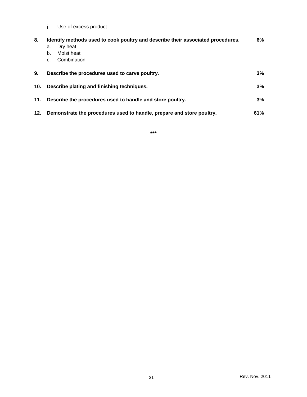j. Use of excess product

| 8.  | Identify methods used to cook poultry and describe their associated procedures. | 6%  |
|-----|---------------------------------------------------------------------------------|-----|
|     | Dry heat<br>a.                                                                  |     |
|     | Moist heat<br>b.                                                                |     |
|     | Combination<br>C.                                                               |     |
| 9.  | Describe the procedures used to carve poultry.                                  | 3%  |
| 10. | Describe plating and finishing techniques.                                      | 3%  |
| 11. | Describe the procedures used to handle and store poultry.                       | 3%  |
| 12. | Demonstrate the procedures used to handle, prepare and store poultry.           | 61% |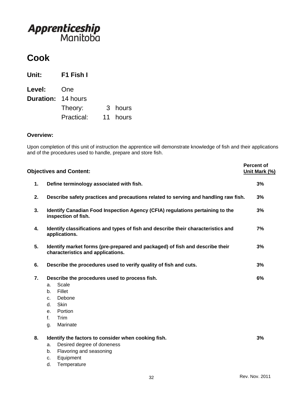## **Cook**

| Unit:                     | F1 Fish I  |    |         |
|---------------------------|------------|----|---------|
| <b>Level:</b>             | One        |    |         |
| <b>Duration: 14 hours</b> |            |    |         |
|                           | Theory:    |    | 3 hours |
|                           | Practical: | 11 | hours   |

#### **Overview:**

Upon completion of this unit of instruction the apprentice will demonstrate knowledge of fish and their applications and of the procedures used to handle, prepare and store fish.

|    | <b>Objectives and Content:</b>                                                                                                                                     | <b>Percent of</b><br>Unit Mark (%) |
|----|--------------------------------------------------------------------------------------------------------------------------------------------------------------------|------------------------------------|
| 1. | Define terminology associated with fish.                                                                                                                           | 3%                                 |
| 2. | Describe safety practices and precautions related to serving and handling raw fish.                                                                                | 3%                                 |
| 3. | Identify Canadian Food Inspection Agency (CFIA) regulations pertaining to the<br>inspection of fish.                                                               | 3%                                 |
| 4. | Identify classifications and types of fish and describe their characteristics and<br>applications.                                                                 | 7%                                 |
| 5. | Identify market forms (pre-prepared and packaged) of fish and describe their<br>characteristics and applications.                                                  | 3%                                 |
| 6. | Describe the procedures used to verify quality of fish and cuts.                                                                                                   | 3%                                 |
| 7. | Describe the procedures used to process fish.<br>Scale<br>a.<br>Fillet<br>b.<br>Debone<br>C.<br>Skin<br>d.<br>Portion<br>e.<br>f.<br><b>Trim</b><br>Marinate<br>g. | 6%                                 |
| 8. | Identify the factors to consider when cooking fish.<br>Desired degree of doneness<br>a.<br>Flavoring and seasoning<br>b.<br>Equipment<br>c.<br>d.<br>Temperature   | 3%                                 |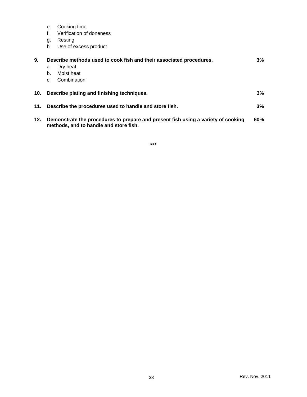- e. Cooking time
- f. Verification of doneness
- g. Resting
- h. Use of excess product

| 9.              |    | Describe methods used to cook fish and their associated procedures.                                                         | 3%  |
|-----------------|----|-----------------------------------------------------------------------------------------------------------------------------|-----|
|                 | a. | Dry heat                                                                                                                    |     |
|                 | b. | Moist heat                                                                                                                  |     |
|                 | C. | Combination                                                                                                                 |     |
|                 |    |                                                                                                                             |     |
| 10 <sub>1</sub> |    | Describe plating and finishing techniques.                                                                                  | 3%  |
|                 |    |                                                                                                                             |     |
| 11.             |    | Describe the procedures used to handle and store fish.                                                                      | 3%  |
|                 |    |                                                                                                                             |     |
| 12.             |    | Demonstrate the procedures to prepare and present fish using a variety of cooking<br>methods, and to handle and store fish. | 60% |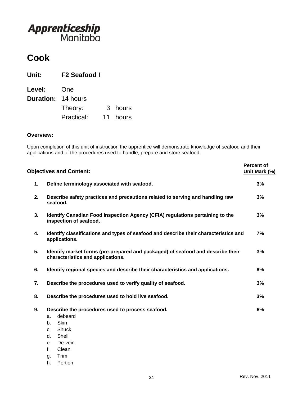## **Cook**

| Unit:                     | <b>F2 Seafood I</b> |    |         |
|---------------------------|---------------------|----|---------|
| <b>Level:</b>             | One                 |    |         |
| <b>Duration: 14 hours</b> |                     |    |         |
|                           | Theory:             |    | 3 hours |
|                           | Practical:          | 11 | hours   |

#### **Overview:**

Upon completion of this unit of instruction the apprentice will demonstrate knowledge of seafood and their applications and of the procedures used to handle, prepare and store seafood.

|    | <b>Objectives and Content:</b>                                                                                                                                                 | <b>Percent of</b><br>Unit Mark (%) |
|----|--------------------------------------------------------------------------------------------------------------------------------------------------------------------------------|------------------------------------|
| 1. | Define terminology associated with seafood.                                                                                                                                    | 3%                                 |
| 2. | Describe safety practices and precautions related to serving and handling raw<br>seafood.                                                                                      | 3%                                 |
| 3. | Identify Canadian Food Inspection Agency (CFIA) regulations pertaining to the<br>inspection of seafood.                                                                        | 3%                                 |
| 4. | Identify classifications and types of seafood and describe their characteristics and<br>applications.                                                                          | 7%                                 |
| 5. | Identify market forms (pre-prepared and packaged) of seafood and describe their<br>characteristics and applications.                                                           | 3%                                 |
| 6. | Identify regional species and describe their characteristics and applications.                                                                                                 | 6%                                 |
| 7. | Describe the procedures used to verify quality of seafood.                                                                                                                     | 3%                                 |
| 8. | Describe the procedures used to hold live seafood.                                                                                                                             | 3%                                 |
| 9. | Describe the procedures used to process seafood.<br>debeard<br>a.<br><b>Skin</b><br>b.<br>Shuck<br>$C_{-}$<br>Shell<br>d.<br>De-vein<br>e <sub>1</sub><br>$f_{\perp}$<br>Clean | 6%                                 |
|    | Trim<br>g.                                                                                                                                                                     |                                    |

h. Portion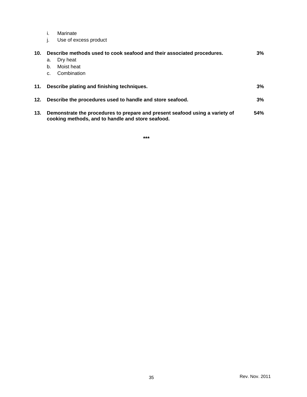- i. Marinate
- j. Use of excess product

| 10. |                | Describe methods used to cook seafood and their associated procedures.                                                            | $3\%$ |
|-----|----------------|-----------------------------------------------------------------------------------------------------------------------------------|-------|
|     | а.             | Dry heat                                                                                                                          |       |
|     | b.             | Moist heat                                                                                                                        |       |
|     | C <sub>1</sub> | Combination                                                                                                                       |       |
|     |                |                                                                                                                                   |       |
| 11. |                | Describe plating and finishing techniques.                                                                                        | $3\%$ |
|     |                |                                                                                                                                   |       |
| 12. |                | Describe the procedures used to handle and store seafood.                                                                         | $3\%$ |
|     |                |                                                                                                                                   |       |
| 13. |                | Demonstrate the procedures to prepare and present seafood using a variety of<br>cooking methods, and to handle and store seafood. | 54%   |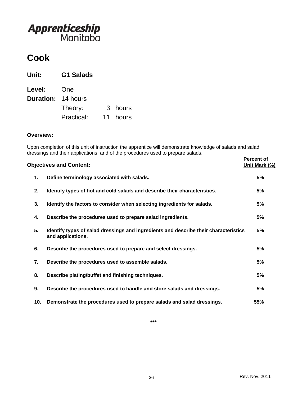## **Cook**

| Unit:                     | <b>G1 Salads</b> |    |         |
|---------------------------|------------------|----|---------|
| <b>Level:</b>             | One              |    |         |
| <b>Duration: 14 hours</b> |                  |    |         |
|                           | Theory:          |    | 3 hours |
|                           | Practical:       | 11 | hours   |

#### **Overview:**

Upon completion of this unit of instruction the apprentice will demonstrate knowledge of salads and salad dressings and their applications, and of the procedures used to prepare salads.

|     | <b>Objectives and Content:</b>                                                                            | <b>Percent of</b><br>Unit Mark (%) |
|-----|-----------------------------------------------------------------------------------------------------------|------------------------------------|
| 1.  | Define terminology associated with salads.                                                                | 5%                                 |
| 2.  | Identify types of hot and cold salads and describe their characteristics.                                 | 5%                                 |
| 3.  | Identify the factors to consider when selecting ingredients for salads.                                   | 5%                                 |
| 4.  | Describe the procedures used to prepare salad ingredients.                                                | 5%                                 |
| 5.  | Identify types of salad dressings and ingredients and describe their characteristics<br>and applications. | 5%                                 |
| 6.  | Describe the procedures used to prepare and select dressings.                                             | 5%                                 |
| 7.  | Describe the procedures used to assemble salads.                                                          | 5%                                 |
| 8.  | Describe plating/buffet and finishing techniques.                                                         | 5%                                 |
| 9.  | Describe the procedures used to handle and store salads and dressings.                                    | 5%                                 |
| 10. | Demonstrate the procedures used to prepare salads and salad dressings.                                    | 55%                                |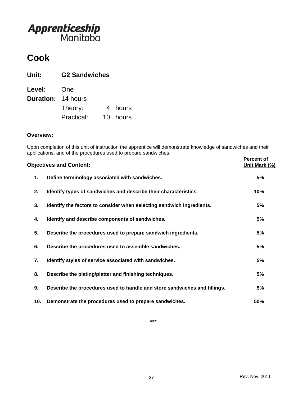## **Cook**

| Unit:                     | <b>G2 Sandwiches</b> |          |
|---------------------------|----------------------|----------|
| <b>Level:</b>             | One                  |          |
| <b>Duration: 14 hours</b> |                      |          |
|                           | Theory:              | 4 hours  |
|                           | Practical:           | 10 hours |

#### **Overview:**

Upon completion of this unit of instruction the apprentice will demonstrate knowledge of sandwiches and their applications, and of the procedures used to prepare sandwiches.

|     | <b>Objectives and Content:</b>                                            | <b>Percent of</b><br>Unit Mark (%) |
|-----|---------------------------------------------------------------------------|------------------------------------|
| 1.  | Define terminology associated with sandwiches.                            | 5%                                 |
| 2.  | Identify types of sandwiches and describe their characteristics.          | 10%                                |
| 3.  | Identify the factors to consider when selecting sandwich ingredients.     | 5%                                 |
| 4.  | Identify and describe components of sandwiches.                           | 5%                                 |
| 5.  | Describe the procedures used to prepare sandwich ingredients.             | 5%                                 |
| 6.  | Describe the procedures used to assemble sandwiches.                      | 5%                                 |
| 7.  | Identify styles of service associated with sandwiches.                    | 5%                                 |
| 8.  | Describe the plating/platter and finishing techniques.                    | 5%                                 |
| 9.  | Describe the procedures used to handle and store sandwiches and fillings. | 5%                                 |
| 10. | Demonstrate the procedures used to prepare sandwiches.                    | 50%                                |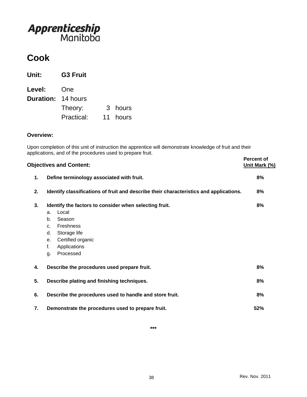## **Cook**

| Unit:                     | <b>G3 Fruit</b> |          |
|---------------------------|-----------------|----------|
| <b>Level:</b>             | One             |          |
| <b>Duration: 14 hours</b> |                 |          |
|                           | Theory:         | 3 hours  |
|                           | Practical:      | 11 hours |

#### **Overview:**

Upon completion of this unit of instruction the apprentice will demonstrate knowledge of fruit and their applications, and of the procedures used to prepare fruit.

|    | <b>Objectives and Content:</b>                                                                                                                                                                                 | <b>Percent of</b><br>Unit Mark (%) |
|----|----------------------------------------------------------------------------------------------------------------------------------------------------------------------------------------------------------------|------------------------------------|
| 1. | Define terminology associated with fruit.                                                                                                                                                                      | 8%                                 |
| 2. | Identify classifications of fruit and describe their characteristics and applications.                                                                                                                         | 8%                                 |
| 3. | Identify the factors to consider when selecting fruit.<br>Local<br>a.<br>Season<br>b.<br>Freshness<br>C <sub>1</sub><br>Storage life<br>d.<br>Certified organic<br>е.<br>f.<br>Applications<br>Processed<br>g. | 8%                                 |
| 4. | Describe the procedures used prepare fruit.                                                                                                                                                                    | 8%                                 |
| 5. | Describe plating and finishing techniques.                                                                                                                                                                     | 8%                                 |
| 6. | Describe the procedures used to handle and store fruit.                                                                                                                                                        | 8%                                 |
| 7. | Demonstrate the procedures used to prepare fruit.                                                                                                                                                              | 52%                                |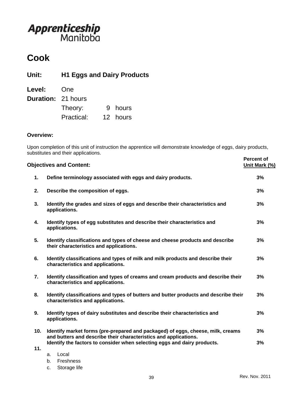## **Cook**

**Unit: H1 Eggs and Dairy Products**

| Level:                    | One        |          |
|---------------------------|------------|----------|
| <b>Duration: 21 hours</b> |            |          |
|                           | Theory:    | 9 hours  |
|                           | Practical: | 12 hours |

#### **Overview:**

Upon completion of this unit of instruction the apprentice will demonstrate knowledge of eggs, dairy products, substitutes and their applications. **Percent of** 

|     | <b>Objectives and Content:</b>                                                                                                                      | Lei <i>r</i> eill oi<br>Unit Mark (%) |
|-----|-----------------------------------------------------------------------------------------------------------------------------------------------------|---------------------------------------|
| 1.  | Define terminology associated with eggs and dairy products.                                                                                         | 3%                                    |
| 2.  | Describe the composition of eggs.                                                                                                                   | 3%                                    |
| 3.  | Identify the grades and sizes of eggs and describe their characteristics and<br>applications.                                                       | 3%                                    |
| 4.  | Identify types of egg substitutes and describe their characteristics and<br>applications.                                                           | 3%                                    |
| 5.  | Identify classifications and types of cheese and cheese products and describe<br>their characteristics and applications.                            | 3%                                    |
| 6.  | Identify classifications and types of milk and milk products and describe their<br>characteristics and applications.                                | 3%                                    |
| 7.  | Identify classification and types of creams and cream products and describe their<br>characteristics and applications.                              | 3%                                    |
| 8.  | Identify classifications and types of butters and butter products and describe their<br>characteristics and applications.                           | 3%                                    |
| 9.  | Identify types of dairy substitutes and describe their characteristics and<br>applications.                                                         | 3%                                    |
| 10. | Identify market forms (pre-prepared and packaged) of eggs, cheese, milk, creams<br>and butters and describe their characteristics and applications. | 3%                                    |
| 11. | Identify the factors to consider when selecting eggs and dairy products.                                                                            | 3%                                    |
|     | Local<br>a.                                                                                                                                         |                                       |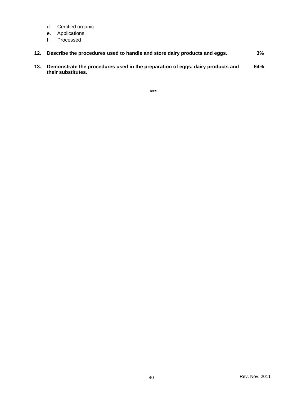- d. Certified organic
- e. Applications
- f. Processed
- **12. Describe the procedures used to handle and store dairy products and eggs. 3%**
- **13. Demonstrate the procedures used in the preparation of eggs, dairy products and their substitutes. 64%**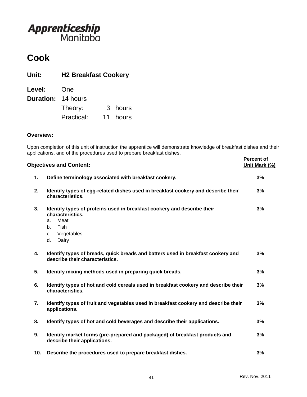## **Cook**

| Unit:                     | <b>H2 Breakfast Cookery</b> |    |         |
|---------------------------|-----------------------------|----|---------|
| <b>Level:</b>             | One                         |    |         |
| <b>Duration: 14 hours</b> |                             |    |         |
|                           | Theory:                     |    | 3 hours |
|                           | Practical:                  | 11 | hours   |

#### **Overview:**

Upon completion of this unit of instruction the apprentice will demonstrate knowledge of breakfast dishes and their applications, and of the procedures used to prepare breakfast dishes.

|     | <b>Objectives and Content:</b>                                                                                                                             | <b>Percent of</b><br>Unit Mark (%) |
|-----|------------------------------------------------------------------------------------------------------------------------------------------------------------|------------------------------------|
| 1.  | Define terminology associated with breakfast cookery.                                                                                                      | 3%                                 |
| 2.  | Identify types of egg-related dishes used in breakfast cookery and describe their<br>characteristics.                                                      | 3%                                 |
| 3.  | Identify types of proteins used in breakfast cookery and describe their<br>characteristics.<br>Meat<br>a.<br>Fish<br>b.<br>Vegetables<br>c.<br>Dairy<br>d. | 3%                                 |
| 4.  | Identify types of breads, quick breads and batters used in breakfast cookery and<br>describe their characteristics.                                        | 3%                                 |
| 5.  | Identify mixing methods used in preparing quick breads.                                                                                                    | 3%                                 |
| 6.  | Identify types of hot and cold cereals used in breakfast cookery and describe their<br>characteristics.                                                    | 3%                                 |
| 7.  | Identify types of fruit and vegetables used in breakfast cookery and describe their<br>applications.                                                       | 3%                                 |
| 8.  | Identify types of hot and cold beverages and describe their applications.                                                                                  | 3%                                 |
| 9.  | Identify market forms (pre-prepared and packaged) of breakfast products and<br>describe their applications.                                                | 3%                                 |
| 10. | Describe the procedures used to prepare breakfast dishes.                                                                                                  | 3%                                 |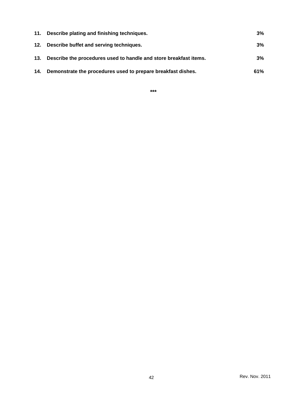| 11. | Describe plating and finishing techniques.                        | 3%    |
|-----|-------------------------------------------------------------------|-------|
|     | 12. Describe buffet and serving techniques.                       | $3\%$ |
| 13. | Describe the procedures used to handle and store breakfast items. | 3%    |
| 14. | Demonstrate the procedures used to prepare breakfast dishes.      | 61%   |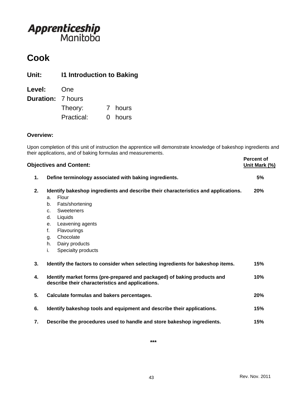## **Cook**

**Unit: I1 Introduction to Baking**

| Level:                   | One        |         |
|--------------------------|------------|---------|
| <b>Duration:</b> 7 hours |            |         |
|                          | Theory:    | 7 hours |
|                          | Practical: | 0 hours |

### **Overview:**

Upon completion of this unit of instruction the apprentice will demonstrate knowledge of bakeshop ingredients and their applications, and of baking formulas and measurements.

|    | <b>Objectives and Content:</b>                                                                                                                                                                                                                | <b>Percent of</b><br>Unit Mark (%) |
|----|-----------------------------------------------------------------------------------------------------------------------------------------------------------------------------------------------------------------------------------------------|------------------------------------|
| 1. | Define terminology associated with baking ingredients.                                                                                                                                                                                        | 5%                                 |
| 2. | Identify bakeshop ingredients and describe their characteristics and applications.<br>Flour<br>a.<br>Fats/shortening<br>b.<br>Sweeteners<br>C <sub>1</sub><br>Liquids<br>d.<br>Leavening agents<br>е.<br>f.<br>Flavourings<br>Chocolate<br>g. | 20%                                |
|    | Dairy products<br>h.<br>Specialty products<br>i.                                                                                                                                                                                              |                                    |
| 3. | Identify the factors to consider when selecting ingredients for bakeshop items.                                                                                                                                                               | 15%                                |
| 4. | Identify market forms (pre-prepared and packaged) of baking products and<br>describe their characteristics and applications.                                                                                                                  | 10%                                |
| 5. | Calculate formulas and bakers percentages.                                                                                                                                                                                                    | 20%                                |
| 6. | Identify bakeshop tools and equipment and describe their applications.                                                                                                                                                                        | 15%                                |
| 7. | Describe the procedures used to handle and store bakeshop ingredients.                                                                                                                                                                        | 15%                                |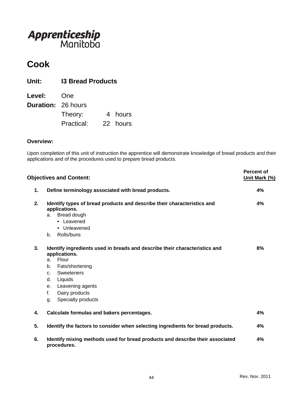## **Cook**

| Unit:                     | <b>13 Bread Products</b> |  |          |
|---------------------------|--------------------------|--|----------|
| Level:                    | One                      |  |          |
| <b>Duration: 26 hours</b> |                          |  |          |
|                           | Theory:                  |  | 4 hours  |
|                           | Practical:               |  | 22 hours |

#### **Overview:**

Upon completion of this unit of instruction the apprentice will demonstrate knowledge of bread products and their applications and of the procedures used to prepare bread products.

|    | <b>Objectives and Content:</b>                                                                                                                                                                                                                                            | <b>Percent of</b><br>Unit Mark (%) |
|----|---------------------------------------------------------------------------------------------------------------------------------------------------------------------------------------------------------------------------------------------------------------------------|------------------------------------|
| 1. | Define terminology associated with bread products.                                                                                                                                                                                                                        | 4%                                 |
| 2. | Identify types of bread products and describe their characteristics and<br>applications.<br>Bread dough<br>a.<br>• Leavened<br>• Unleavened<br>Rolls/buns<br>b.                                                                                                           | 4%                                 |
| 3. | Identify ingredients used in breads and describe their characteristics and<br>applications.<br>Flour<br>a.<br>Fats/shortening<br>b.<br><b>Sweeteners</b><br>C <sub>1</sub><br>d.<br>Liquids<br>Leavening agents<br>е.<br>f.<br>Dairy products<br>Specialty products<br>g. | 8%                                 |
| 4. | Calculate formulas and bakers percentages.                                                                                                                                                                                                                                | 4%                                 |
| 5. | Identify the factors to consider when selecting ingredients for bread products.                                                                                                                                                                                           | 4%                                 |
| 6. | Identify mixing methods used for bread products and describe their associated<br>procedures.                                                                                                                                                                              | 4%                                 |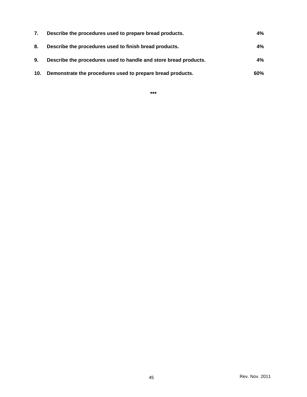| 7.  | Describe the procedures used to prepare bread products.          | $4\%$ |
|-----|------------------------------------------------------------------|-------|
| 8.  | Describe the procedures used to finish bread products.           | $4\%$ |
| 9.  | Describe the procedures used to handle and store bread products. | $4\%$ |
| 10. | Demonstrate the procedures used to prepare bread products.       | 60%   |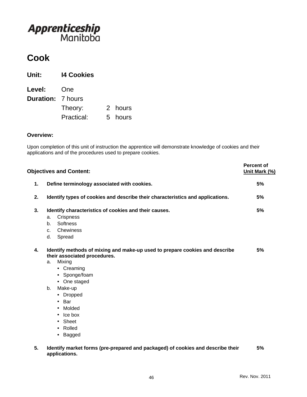## **Cook**

| Unit:                    | <b>14 Cookies</b> |   |         |
|--------------------------|-------------------|---|---------|
| <b>Level:</b>            | One               |   |         |
| <b>Duration: 7 hours</b> |                   |   |         |
|                          | Theory:           |   | 2 hours |
|                          | Practical:        | 5 | hours   |

#### **Overview:**

Upon completion of this unit of instruction the apprentice will demonstrate knowledge of cookies and their applications and of the procedures used to prepare cookies.

|    | <b>Objectives and Content:</b>                                                                              | <b>Percent of</b><br>Unit Mark (%) |
|----|-------------------------------------------------------------------------------------------------------------|------------------------------------|
| 1. | Define terminology associated with cookies.                                                                 | 5%                                 |
| 2. | Identify types of cookies and describe their characteristics and applications.                              | 5%                                 |
| 3. | Identify characteristics of cookies and their causes.                                                       | 5%                                 |
|    | <b>Crispness</b><br>a.                                                                                      |                                    |
|    | <b>Softness</b><br>b.                                                                                       |                                    |
|    | Chewiness<br>$C_{-}$                                                                                        |                                    |
|    | Spread<br>d.                                                                                                |                                    |
| 4. | Identify methods of mixing and make-up used to prepare cookies and describe<br>their associated procedures. | 5%                                 |
|    | Mixing<br>a.                                                                                                |                                    |
|    | • Creaming                                                                                                  |                                    |
|    | • Sponge/foam                                                                                               |                                    |
|    | • One staged                                                                                                |                                    |
|    | Make-up<br>b.                                                                                               |                                    |
|    | • Dropped                                                                                                   |                                    |
|    | $\cdot$ Bar                                                                                                 |                                    |
|    | • Molded                                                                                                    |                                    |
|    | $\cdot$ Ice box                                                                                             |                                    |
|    | • Sheet                                                                                                     |                                    |
|    | • Rolled                                                                                                    |                                    |
|    | • Bagged                                                                                                    |                                    |
| 5. | Identify market forms (pre-prepared and packaged) of cookies and describe their<br>applications.            | 5%                                 |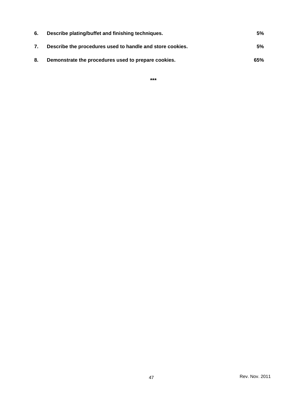| 6. | Describe plating/buffet and finishing techniques.         | 5%  |
|----|-----------------------------------------------------------|-----|
| 7. | Describe the procedures used to handle and store cookies. | 5%  |
| 8. | Demonstrate the procedures used to prepare cookies.       | 65% |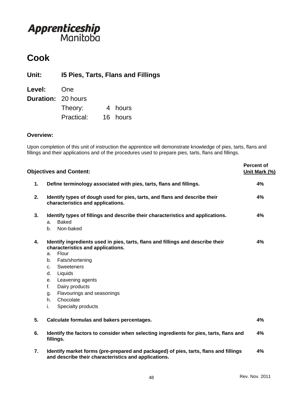### **Cook**

**Unit: I5 Pies, Tarts, Flans and Fillings**

| Level:                    | One        |          |
|---------------------------|------------|----------|
| <b>Duration: 20 hours</b> |            |          |
|                           | Theory:    | 4 hours  |
|                           | Practical: | 16 hours |

#### **Overview:**

Upon completion of this unit of instruction the apprentice will demonstrate knowledge of pies, tarts, flans and fillings and their applications and of the procedures used to prepare pies, tarts, flans and fillings.

|    | <b>Objectives and Content:</b>                                                                                                                                                                                                                                                                                                                | <b>Percent of</b><br>Unit Mark (%) |
|----|-----------------------------------------------------------------------------------------------------------------------------------------------------------------------------------------------------------------------------------------------------------------------------------------------------------------------------------------------|------------------------------------|
| 1. | Define terminology associated with pies, tarts, flans and fillings.                                                                                                                                                                                                                                                                           | 4%                                 |
| 2. | Identify types of dough used for pies, tarts, and flans and describe their<br>characteristics and applications.                                                                                                                                                                                                                               | 4%                                 |
| 3. | Identify types of fillings and describe their characteristics and applications.<br><b>Baked</b><br>a.<br>Non-baked<br>$h_{\cdot}$                                                                                                                                                                                                             | 4%                                 |
| 4. | Identify ingredients used in pies, tarts, flans and fillings and describe their<br>characteristics and applications.<br>Flour<br>a.<br>Fats/shortening<br>b.<br><b>Sweeteners</b><br>C.<br>Liquids<br>d.<br>Leavening agents<br>e.<br>Dairy products<br>f.<br>Flavourings and seasonings<br>g.<br>Chocolate<br>h.<br>i.<br>Specialty products | 4%                                 |
| 5. | Calculate formulas and bakers percentages.                                                                                                                                                                                                                                                                                                    | 4%                                 |
| 6. | Identify the factors to consider when selecting ingredients for pies, tarts, flans and<br>fillings.                                                                                                                                                                                                                                           | 4%                                 |
| 7. | Identify market forms (pre-prepared and packaged) of pies, tarts, flans and fillings<br>and describe their characteristics and applications.                                                                                                                                                                                                  | 4%                                 |